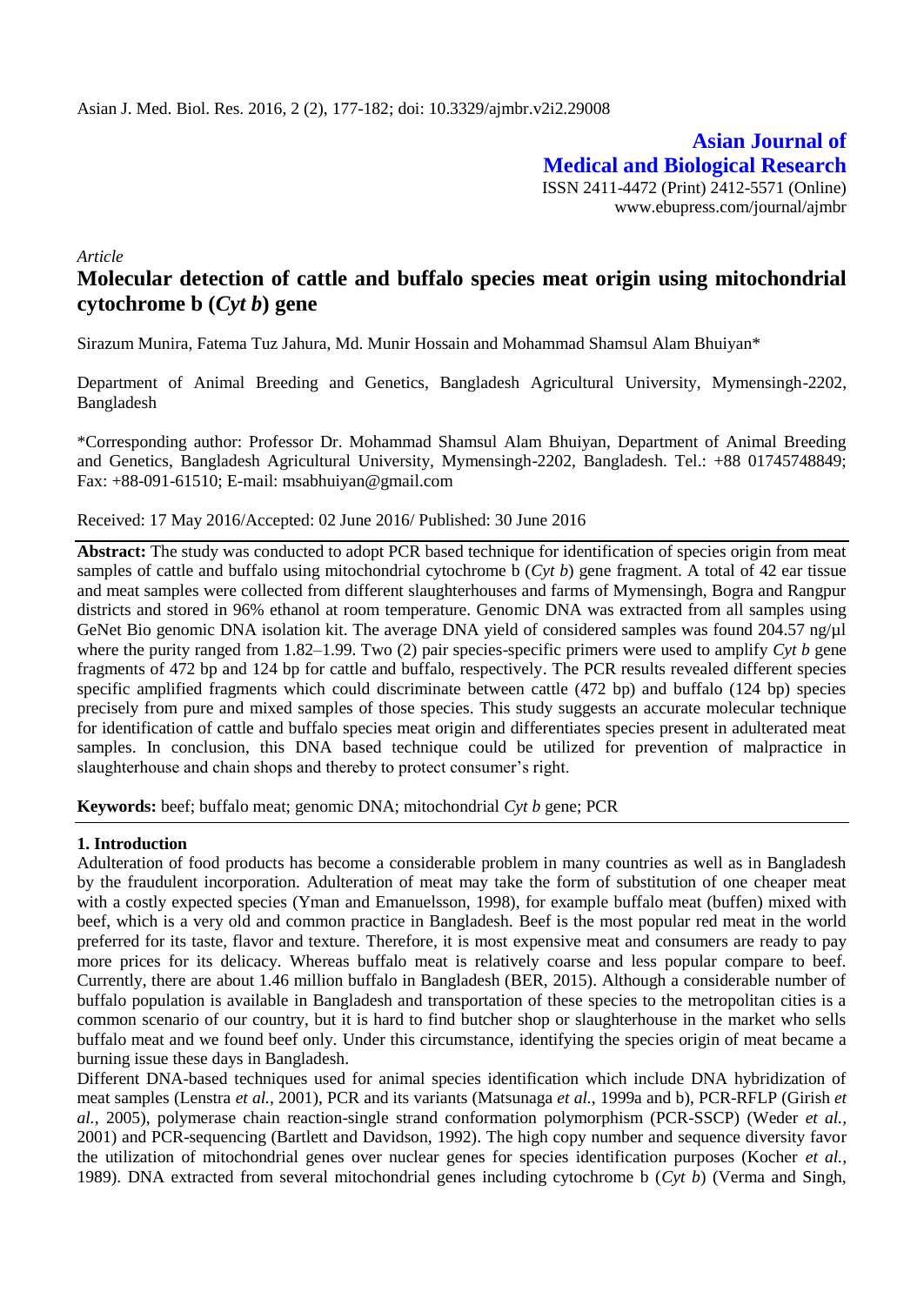**Asian Journal of Medical and Biological Research** ISSN 2411-4472 (Print) 2412-5571 (Online) www.ebupress.com/journal/ajmbr

*Article*

# **Molecular detection of cattle and buffalo species meat origin using mitochondrial cytochrome b (***Cyt b***) gene**

Sirazum Munira, Fatema Tuz Jahura, Md. Munir Hossain and Mohammad Shamsul Alam Bhuiyan\*

Department of Animal Breeding and Genetics, Bangladesh Agricultural University, Mymensingh-2202, Bangladesh

\*Corresponding author: Professor Dr. Mohammad Shamsul Alam Bhuiyan, Department of Animal Breeding and Genetics, Bangladesh Agricultural University, Mymensingh-2202, Bangladesh. Tel.: +88 01745748849; Fax: +88-091-61510; E-mail: [msabhuiyan@gmail.com](mailto:msabhuiyan@gmail.com)

# Received: 17 May 2016/Accepted: 02 June 2016/ Published: 30 June 2016

**Abstract:** The study was conducted to adopt PCR based technique for identification of species origin from meat samples of cattle and buffalo using mitochondrial cytochrome b (*Cyt b*) gene fragment. A total of 42 ear tissue and meat samples were collected from different slaughterhouses and farms of Mymensingh, Bogra and Rangpur districts and stored in 96% ethanol at room temperature. Genomic DNA was extracted from all samples using GeNet Bio genomic DNA isolation kit. The average DNA yield of considered samples was found 204.57 ng/ $\mu$ l where the purity ranged from 1.82–1.99. Two (2) pair species-specific primers were used to amplify *Cyt b* gene fragments of 472 bp and 124 bp for cattle and buffalo, respectively. The PCR results revealed different species specific amplified fragments which could discriminate between cattle (472 bp) and buffalo (124 bp) species precisely from pure and mixed samples of those species. This study suggests an accurate molecular technique for identification of cattle and buffalo species meat origin and differentiates species present in adulterated meat samples. In conclusion, this DNA based technique could be utilized for prevention of malpractice in slaughterhouse and chain shops and thereby to protect consumer's right.

**Keywords:** beef; buffalo meat; genomic DNA; mitochondrial *Cyt b* gene; PCR

# **1. Introduction**

Adulteration of food products has become a considerable problem in many countries as well as in Bangladesh by the fraudulent incorporation. Adulteration of meat may take the form of substitution of one cheaper meat with a costly expected species (Yman and Emanuelsson, 1998), for example buffalo meat (buffen) mixed with beef, which is a very old and common practice in Bangladesh. Beef is the most popular red meat in the world preferred for its taste, flavor and texture. Therefore, it is most expensive meat and consumers are ready to pay more prices for its delicacy. Whereas buffalo meat is relatively coarse and less popular compare to beef. Currently, there are about 1.46 million buffalo in Bangladesh (BER, 2015). Although a considerable number of buffalo population is available in Bangladesh and transportation of these species to the metropolitan cities is a common scenario of our country, but it is hard to find butcher shop or slaughterhouse in the market who sells buffalo meat and we found beef only. Under this circumstance, identifying the species origin of meat became a burning issue these days in Bangladesh.

Different DNA-based techniques used for animal species identification which include DNA hybridization of meat samples (Lenstra *et al.,* 2001), PCR and its variants (Matsunaga *et al.,* 1999a and b), PCR-RFLP (Girish *et al.,* 2005), polymerase chain reaction-single strand conformation polymorphism (PCR-SSCP) (Weder *et al.,* 2001) and PCR-sequencing (Bartlett and Davidson, 1992). The high copy number and sequence diversity favor the utilization of mitochondrial genes over nuclear genes for species identification purposes (Kocher *et al.,* 1989). DNA extracted from several mitochondrial genes including cytochrome b (*Cyt b*) (Verma and Singh,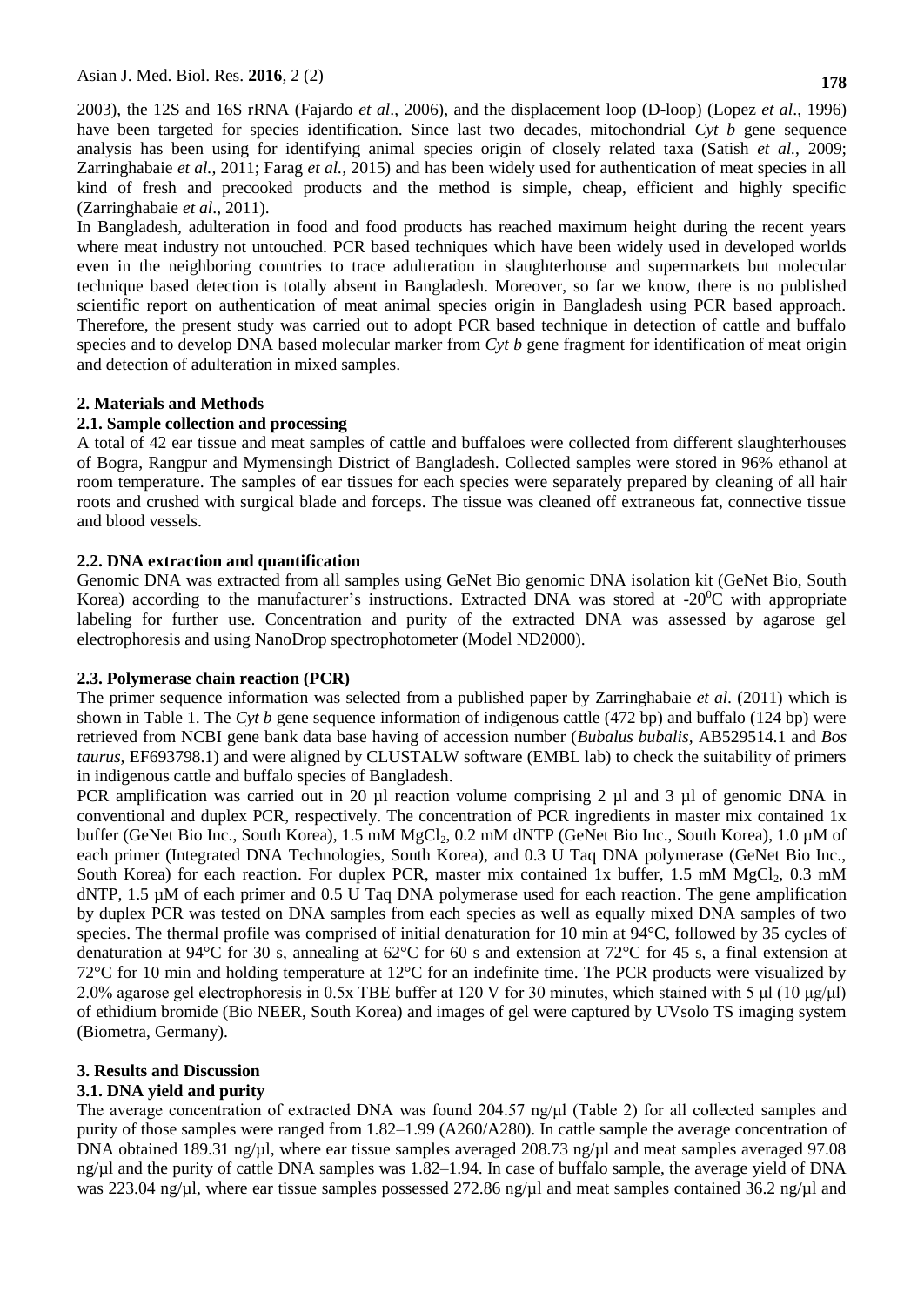2003), the 12S and 16S rRNA (Fajardo *et al*., 2006), and the displacement loop (D-loop) (Lopez *et al*., 1996) have been targeted for species identification. Since last two decades, mitochondrial *Cyt b* gene sequence analysis has been using for identifying animal species origin of closely related taxa (Satish *et al.*, 2009; Zarringhabaie *et al.,* 2011; Farag *et al.,* 2015) and has been widely used for authentication of meat species in all kind of fresh and precooked products and the method is simple, cheap, efficient and highly specific (Zarringhabaie *et al*., 2011).

In Bangladesh, adulteration in food and food products has reached maximum height during the recent years where meat industry not untouched. PCR based techniques which have been widely used in developed worlds even in the neighboring countries to trace adulteration in slaughterhouse and supermarkets but molecular technique based detection is totally absent in Bangladesh. Moreover, so far we know, there is no published scientific report on authentication of meat animal species origin in Bangladesh using PCR based approach. Therefore, the present study was carried out to adopt PCR based technique in detection of cattle and buffalo species and to develop DNA based molecular marker from *Cyt b* gene fragment for identification of meat origin and detection of adulteration in mixed samples.

# **2. Materials and Methods**

# **2.1. Sample collection and processing**

A total of 42 ear tissue and meat samples of cattle and buffaloes were collected from different slaughterhouses of Bogra, Rangpur and Mymensingh District of Bangladesh. Collected samples were stored in 96% ethanol at room temperature. The samples of ear tissues for each species were separately prepared by cleaning of all hair roots and crushed with surgical blade and forceps. The tissue was cleaned off extraneous fat, connective tissue and blood vessels.

# **2.2. DNA extraction and quantification**

Genomic DNA was extracted from all samples using GeNet Bio genomic DNA isolation kit (GeNet Bio, South Korea) according to the manufacturer's instructions. Extracted DNA was stored at  $-20^{\circ}$ C with appropriate labeling for further use. Concentration and purity of the extracted DNA was assessed by agarose gel electrophoresis and using NanoDrop spectrophotometer (Model ND2000).

# **2.3. Polymerase chain reaction (PCR)**

The primer sequence information was selected from a published paper by Zarringhabaie *et al.* (2011) which is shown in Table 1. The *Cyt b* gene sequence information of indigenous cattle (472 bp) and buffalo (124 bp) were retrieved from NCBI gene bank data base having of accession number (*Bubalus bubalis,* AB529514.1 and *Bos taurus,* EF693798.1) and were aligned by CLUSTALW software (EMBL lab) to check the suitability of primers in indigenous cattle and buffalo species of Bangladesh.

PCR amplification was carried out in 20 µl reaction volume comprising 2 µl and 3 µl of genomic DNA in conventional and duplex PCR, respectively. The concentration of PCR ingredients in master mix contained 1x buffer (GeNet Bio Inc., South Korea), 1.5 mM MgCl<sub>2</sub>, 0.2 mM dNTP (GeNet Bio Inc., South Korea), 1.0 μM of each primer (Integrated DNA Technologies, South Korea), and 0.3 U Taq DNA polymerase (GeNet Bio Inc., South Korea) for each reaction. For duplex PCR, master mix contained 1x buffer, 1.5 mM  $MgCl<sub>2</sub>$ , 0.3 mM dNTP, 1.5  $\mu$ M of each primer and 0.5 U Taq DNA polymerase used for each reaction. The gene amplification by duplex PCR was tested on DNA samples from each species as well as equally mixed DNA samples of two species. The thermal profile was comprised of initial denaturation for 10 min at 94 °C, followed by 35 cycles of denaturation at 94°C for 30 s, annealing at 62°C for 60 s and extension at 72°C for 45 s, a final extension at 72°C for 10 min and holding temperature at 12°C for an indefinite time. The PCR products were visualized by 2.0% agarose gel electrophoresis in 0.5x TBE buffer at 120 V for 30 minutes, which stained with 5 μl (10 μg/μl) of ethidium bromide (Bio NEER, South Korea) and images of gel were captured by UVsolo TS imaging system (Biometra, Germany).

# **3. Results and Discussion**

# **3.1. DNA yield and purity**

The average concentration of extracted DNA was found 204.57 ng/μl (Table 2) for all collected samples and purity of those samples were ranged from 1.82–1.99 (A260/A280). In cattle sample the average concentration of DNA obtained 189.31 ng/ $\mu$ l, where ear tissue samples averaged 208.73 ng/ $\mu$ l and meat samples averaged 97.08 ng/µl and the purity of cattle DNA samples was 1.82–1.94. In case of buffalo sample, the average yield of DNA was 223.04 ng/µl, where ear tissue samples possessed 272.86 ng/µl and meat samples contained 36.2 ng/µl and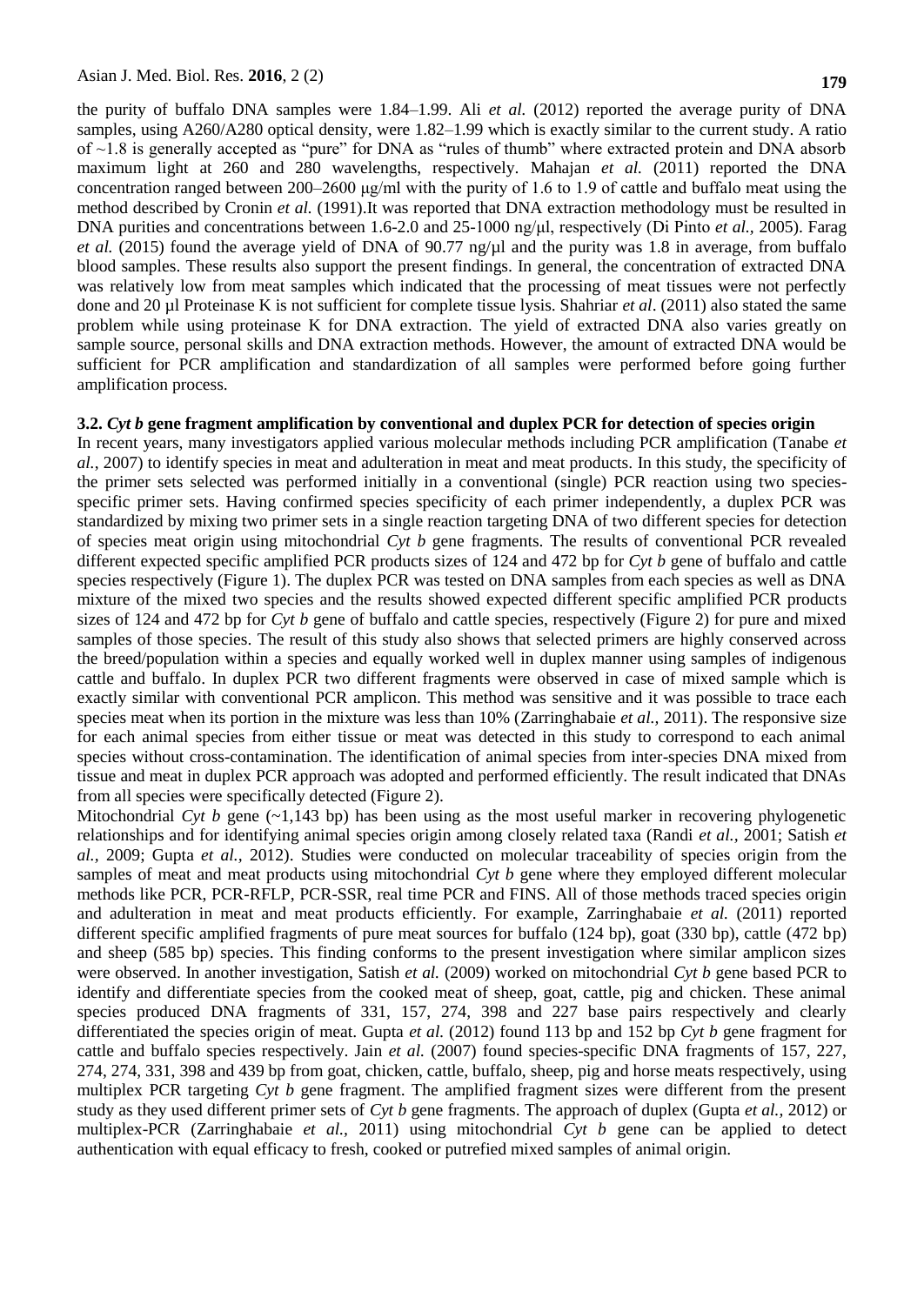the purity of buffalo DNA samples were 1.84–1.99. Ali *et al.* (2012) reported the average purity of DNA samples, using A260/A280 optical density, were 1.82–1.99 which is exactly similar to the current study. A ratio of ~1.8 is generally accepted as "pure" for DNA as "rules of thumb" where extracted protein and DNA absorb maximum light at 260 and 280 wavelengths, respectively. Mahajan *et al.* (2011) reported the DNA concentration ranged between 200–2600 μg/ml with the purity of 1.6 to 1.9 of cattle and buffalo meat using the method described by Cronin *et al.* (1991).It was reported that DNA extraction methodology must be resulted in DNA purities and concentrations between 1.6-2.0 and 25-1000 ng/μl, respectively (Di Pinto *et al.,* 2005). Farag *et al.* (2015) found the average yield of DNA of 90.77 ng/ $\mu$  and the purity was 1.8 in average, from buffalo blood samples. These results also support the present findings. In general, the concentration of extracted DNA was relatively low from meat samples which indicated that the processing of meat tissues were not perfectly done and 20 µl Proteinase K is not sufficient for complete tissue lysis. Shahriar *et al*. (2011) also stated the same problem while using proteinase K for DNA extraction. The yield of extracted DNA also varies greatly on sample source, personal skills and DNA extraction methods. However, the amount of extracted DNA would be sufficient for PCR amplification and standardization of all samples were performed before going further amplification process.

### **3.2.** *Cyt b* **gene fragment amplification by conventional and duplex PCR for detection of species origin**

In recent years, many investigators applied various molecular methods including PCR amplification (Tanabe *et al.*, 2007) to identify species in meat and adulteration in meat and meat products. In this study, the specificity of the primer sets selected was performed initially in a conventional (single) PCR reaction using two speciesspecific primer sets. Having confirmed species specificity of each primer independently, a duplex PCR was standardized by mixing two primer sets in a single reaction targeting DNA of two different species for detection of species meat origin using mitochondrial *Cyt b* gene fragments. The results of conventional PCR revealed different expected specific amplified PCR products sizes of 124 and 472 bp for *Cyt b* gene of buffalo and cattle species respectively (Figure 1). The duplex PCR was tested on DNA samples from each species as well as DNA mixture of the mixed two species and the results showed expected different specific amplified PCR products sizes of 124 and 472 bp for *Cyt b* gene of buffalo and cattle species, respectively (Figure 2) for pure and mixed samples of those species. The result of this study also shows that selected primers are highly conserved across the breed/population within a species and equally worked well in duplex manner using samples of indigenous cattle and buffalo. In duplex PCR two different fragments were observed in case of mixed sample which is exactly similar with conventional PCR amplicon. This method was sensitive and it was possible to trace each species meat when its portion in the mixture was less than 10% (Zarringhabaie *et al.,* 2011). The responsive size for each animal species from either tissue or meat was detected in this study to correspond to each animal species without cross-contamination. The identification of animal species from inter-species DNA mixed from tissue and meat in duplex PCR approach was adopted and performed efficiently. The result indicated that DNAs from all species were specifically detected (Figure 2).

Mitochondrial *Cyt b* gene  $(\sim 1,143$  bp) has been using as the most useful marker in recovering phylogenetic relationships and for identifying animal species origin among closely related taxa (Randi *et al.,* 2001; Satish *et al.,* 2009; Gupta *et al.,* 2012). Studies were conducted on molecular traceability of species origin from the samples of meat and meat products using mitochondrial *Cyt b* gene where they employed different molecular methods like PCR, PCR-RFLP, PCR-SSR, real time PCR and FINS. All of those methods traced species origin and adulteration in meat and meat products efficiently. For example, Zarringhabaie *et al.* (2011) reported different specific amplified fragments of pure meat sources for buffalo (124 bp), goat (330 bp), cattle (472 bp) and sheep (585 bp) species. This finding conforms to the present investigation where similar amplicon sizes were observed. In another investigation, Satish *et al.* (2009) worked on mitochondrial *Cyt b* gene based PCR to identify and differentiate species from the cooked meat of sheep, goat, cattle, pig and chicken. These animal species produced DNA fragments of 331, 157, 274, 398 and 227 base pairs respectively and clearly differentiated the species origin of meat. Gupta *et al.* (2012) found 113 bp and 152 bp *Cyt b* gene fragment for cattle and buffalo species respectively. Jain *et al.* (2007) found species-specific DNA fragments of 157, 227, 274, 274, 331, 398 and 439 bp from goat, chicken, cattle, buffalo, sheep, pig and horse meats respectively, using multiplex PCR targeting *Cyt b* gene fragment. The amplified fragment sizes were different from the present study as they used different primer sets of *Cyt b* gene fragments. The approach of duplex (Gupta *et al.,* 2012) or multiplex-PCR (Zarringhabaie *et al.,* 2011) using mitochondrial *Cyt b* gene can be applied to detect authentication with equal efficacy to fresh, cooked or putrefied mixed samples of animal origin.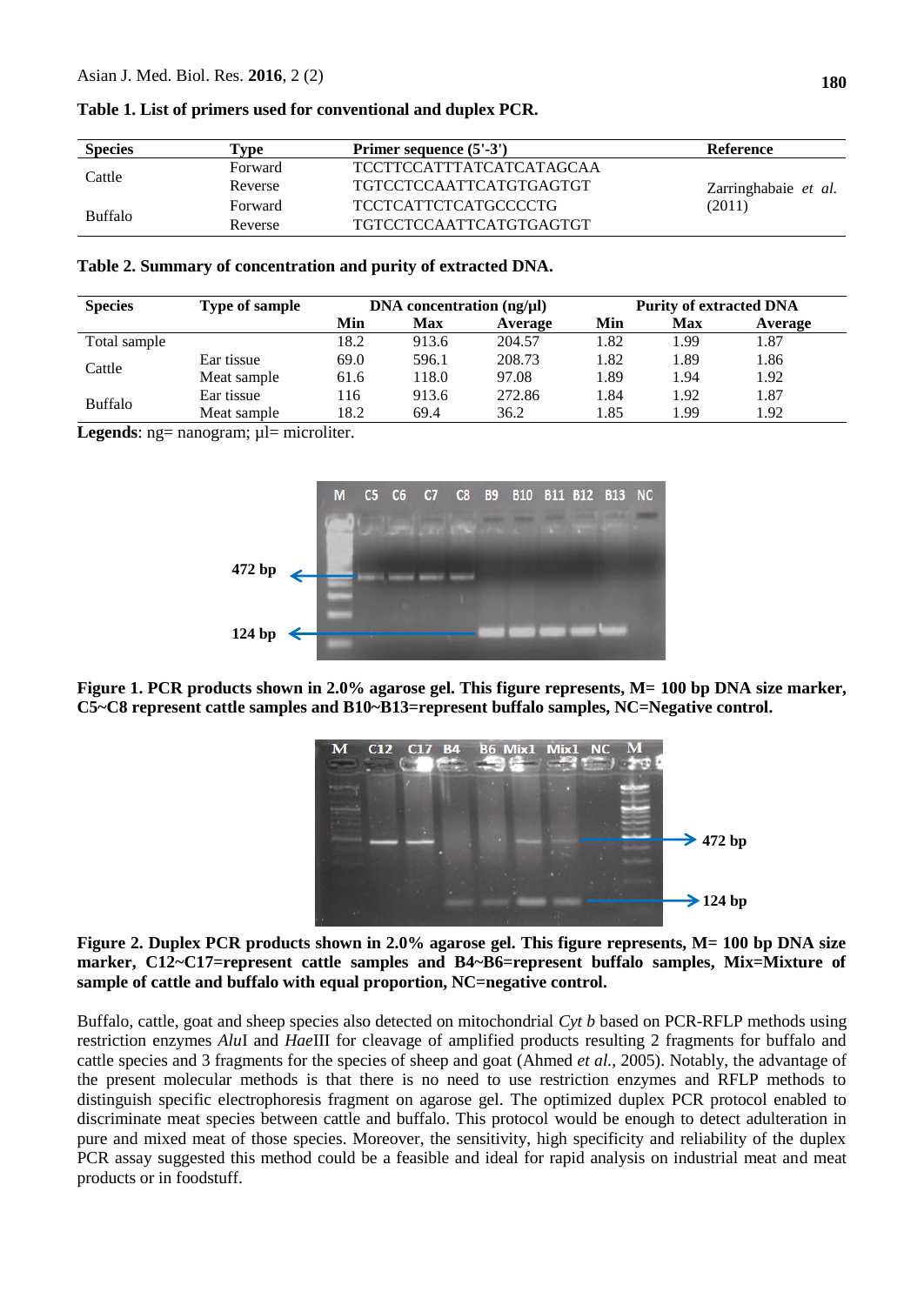| <b>Species</b> | Primer sequence (5'-3')<br>Type |                                 | Reference            |  |  |
|----------------|---------------------------------|---------------------------------|----------------------|--|--|
| Cattle         | Forward                         | <b>TCCTTCCATTTATCATCATAGCAA</b> |                      |  |  |
|                | Reverse                         | <b>TGTCCTCCAATTCATGTGAGTGT</b>  | Zarringhabaie et al. |  |  |
| <b>Buffalo</b> | Forward                         | TCCTCATTCTCATGCCCCTG            | (2011)               |  |  |
|                | Reverse                         | <b>TGTCCTCCAATTCATGTGAGTGT</b>  |                      |  |  |

### **Table 1. List of primers used for conventional and duplex PCR.**

### **Table 2. Summary of concentration and purity of extracted DNA.**

| <b>Species</b> | Type of sample | DNA concentration $(ng/\mu l)$ |       |         | <b>Purity of extracted DNA</b> |            |         |
|----------------|----------------|--------------------------------|-------|---------|--------------------------------|------------|---------|
|                |                | Min                            | Max   | Average | Min                            | <b>Max</b> | Average |
| Total sample   |                | 18.2                           | 913.6 | 204.57  | 1.82                           | 1.99       | . 87    |
| Cattle         | Ear tissue     | 69.0                           | 596.1 | 208.73  | 1.82                           | 1.89       | l.86    |
|                | Meat sample    | 61.6                           | 118.0 | 97.08   | 1.89                           | 1.94       | 1.92    |
| <b>Buffalo</b> | Ear tissue     | 116                            | 913.6 | 272.86  | 1.84                           | 1.92       | . 87    |
|                | Meat sample    | 18.2                           | 69.4  | 36.2    | 1.85                           | L.99       | l.92    |

Legends: ng= nanogram; µl= microliter.



**Figure 1. PCR products shown in 2.0% agarose gel. This figure represents, M= 100 bp DNA size marker, C5~C8 represent cattle samples and B10~B13=represent buffalo samples, NC=Negative control.**



**Figure 2. Duplex PCR products shown in 2.0% agarose gel. This figure represents, M= 100 bp DNA size marker, C12~C17=represent cattle samples and B4~B6=represent buffalo samples, Mix=Mixture of sample of cattle and buffalo with equal proportion, NC=negative control.**

Buffalo, cattle, goat and sheep species also detected on mitochondrial *Cyt b* based on PCR-RFLP methods using restriction enzymes *Alu*I and *Hae*III for cleavage of amplified products resulting 2 fragments for buffalo and cattle species and 3 fragments for the species of sheep and goat (Ahmed *et al.,* 2005). Notably, the advantage of the present molecular methods is that there is no need to use restriction enzymes and RFLP methods to distinguish specific electrophoresis fragment on agarose gel. The optimized duplex PCR protocol enabled to discriminate meat species between cattle and buffalo. This protocol would be enough to detect adulteration in pure and mixed meat of those species. Moreover, the sensitivity, high specificity and reliability of the duplex PCR assay suggested this method could be a feasible and ideal for rapid analysis on industrial meat and meat products or in foodstuff.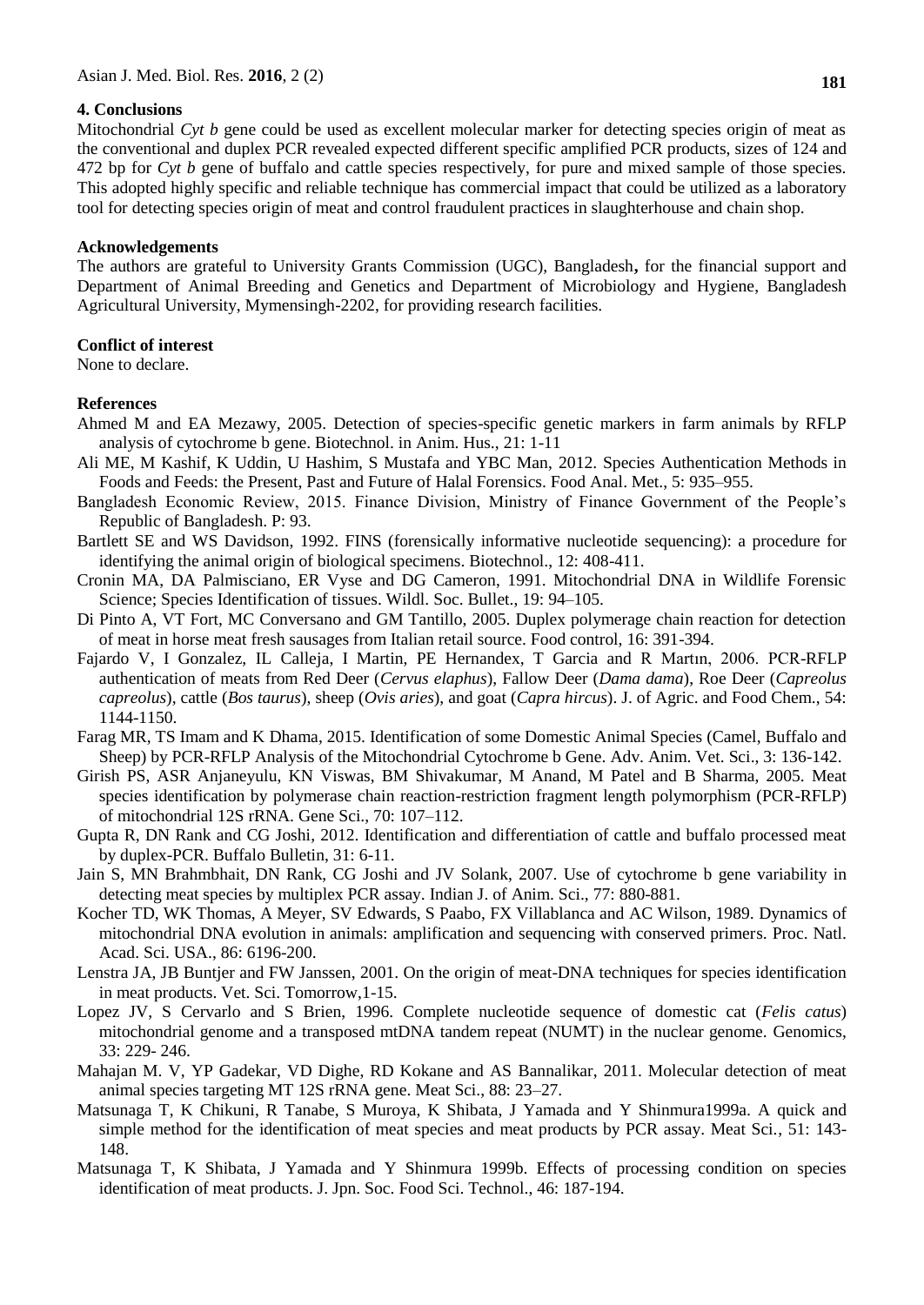### **4. Conclusions**

Mitochondrial *Cyt b* gene could be used as excellent molecular marker for detecting species origin of meat as the conventional and duplex PCR revealed expected different specific amplified PCR products, sizes of 124 and 472 bp for *Cyt b* gene of buffalo and cattle species respectively, for pure and mixed sample of those species. This adopted highly specific and reliable technique has commercial impact that could be utilized as a laboratory tool for detecting species origin of meat and control fraudulent practices in slaughterhouse and chain shop.

#### **Acknowledgements**

The authors are grateful to University Grants Commission (UGC), Bangladesh**,** for the financial support and Department of Animal Breeding and Genetics and Department of Microbiology and Hygiene, Bangladesh Agricultural University, Mymensingh-2202, for providing research facilities.

### **Conflict of interest**

None to declare.

### **References**

- Ahmed M and EA Mezawy, 2005. Detection of species-specific genetic markers in farm animals by RFLP analysis of cytochrome b gene. Biotechnol. in Anim. Hus., 21: 1-11
- Ali ME, M Kashif, K Uddin, U Hashim, S Mustafa and YBC Man, 2012. Species Authentication Methods in Foods and Feeds: the Present, Past and Future of Halal Forensics. Food Anal. Met., 5: 935–955.
- Bangladesh Economic Review, 2015. Finance Division, Ministry of Finance Government of the People's Republic of Bangladesh. P: 93.
- Bartlett SE and WS Davidson, 1992. FINS (forensically informative nucleotide sequencing): a procedure for identifying the animal origin of biological specimens. Biotechnol., 12: 408-411.
- Cronin MA, DA Palmisciano, ER Vyse and DG Cameron, 1991. Mitochondrial DNA in Wildlife Forensic Science; Species Identification of tissues. Wildl. Soc. Bullet., 19: 94–105.
- Di Pinto A, VT Fort, MC Conversano and GM Tantillo, 2005. Duplex polymerage chain reaction for detection of meat in horse meat fresh sausages from Italian retail source. Food control, 16: 391-394.
- Fajardo V, I Gonzalez, IL Calleja, I Martin, PE Hernandex, T Garcia and R Martın, 2006. PCR-RFLP authentication of meats from Red Deer (*Cervus elaphus*), Fallow Deer (*Dama dama*), Roe Deer (*Capreolus capreolus*), cattle (*Bos taurus*), sheep (*Ovis aries*), and goat (*Capra hircus*). J. of Agric. and Food Chem., 54: 1144-1150.
- Farag MR, TS Imam and K Dhama, 2015. Identification of some Domestic Animal Species (Camel, Buffalo and Sheep) by PCR-RFLP Analysis of the Mitochondrial Cytochrome b Gene. Adv. Anim. Vet. Sci., 3: 136-142.
- Girish PS, ASR Anjaneyulu, KN Viswas, BM Shivakumar, M Anand, M Patel and B Sharma, 2005. Meat species identification by polymerase chain reaction-restriction fragment length polymorphism (PCR-RFLP) of mitochondrial 12S rRNA. Gene Sci., 70: 107–112.
- Gupta R, DN Rank and CG Joshi, 2012. Identification and differentiation of cattle and buffalo processed meat by duplex-PCR. Buffalo Bulletin, 31: 6-11.
- Jain S, MN Brahmbhait, DN Rank, CG Joshi and JV Solank, 2007. Use of cytochrome b gene variability in detecting meat species by multiplex PCR assay. Indian J. of Anim. Sci., 77: 880-881.
- Kocher TD, WK Thomas, A Meyer, SV Edwards, S Paabo, FX Villablanca and AC Wilson, 1989. Dynamics of mitochondrial DNA evolution in animals: amplification and sequencing with conserved primers. Proc. Natl. Acad. Sci. USA., 86: 6196-200.
- Lenstra JA, JB Buntjer and FW Janssen, 2001. On the origin of meat-DNA techniques for species identification in meat products. Vet. Sci. Tomorrow,1-15.
- Lopez JV, S Cervarlo and S Brien, 1996. Complete nucleotide sequence of domestic cat (*Felis catus*) mitochondrial genome and a transposed mtDNA tandem repeat (NUMT) in the nuclear genome. Genomics, 33: 229- 246.
- Mahajan M. V, YP Gadekar, VD Dighe, RD Kokane and AS Bannalikar, 2011. Molecular detection of meat animal species targeting MT 12S rRNA gene. Meat Sci., 88: 23–27.
- Matsunaga T, K Chikuni, R Tanabe, S Muroya, K Shibata, J Yamada and Y Shinmura1999a. A quick and simple method for the identification of meat species and meat products by PCR assay. Meat Sci., 51: 143- 148.
- Matsunaga T, K Shibata, J Yamada and Y Shinmura 1999b. Effects of processing condition on species identification of meat products. J. Jpn. Soc. Food Sci. Technol., 46: 187-194.